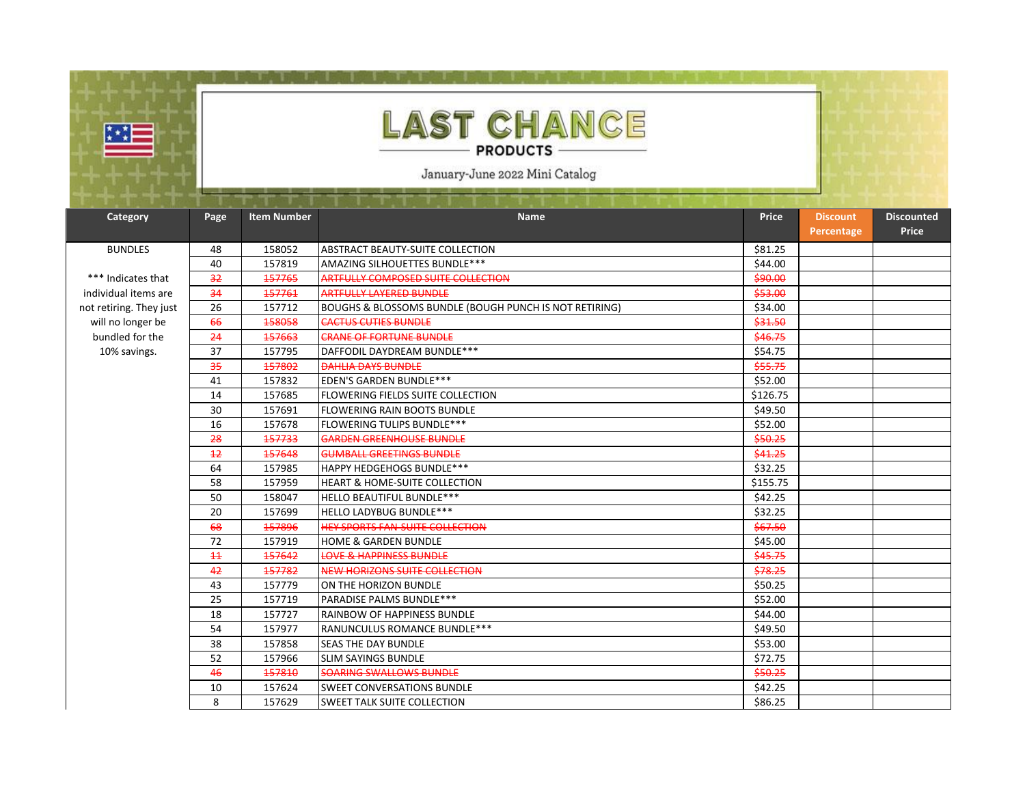

## **LAST CHANCE PRODUCTS -**

January-June 2022 Mini Catalog

| Category                | Page            | <b>Item Number</b> | <b>Name</b>                                            | <b>Price</b> | <b>Discount</b><br>Percentage | <b>Discounted</b><br>Price |
|-------------------------|-----------------|--------------------|--------------------------------------------------------|--------------|-------------------------------|----------------------------|
| <b>BUNDLES</b>          | 48              | 158052             | <b>ABSTRACT BEAUTY-SUITE COLLECTION</b>                | \$81.25      |                               |                            |
|                         | 40              | 157819             | AMAZING SILHOUETTES BUNDLE***                          | \$44.00      |                               |                            |
| *** Indicates that      | 32              | 457765             | ARTFULLY COMPOSED SUITE COLLECTION                     | \$90.00      |                               |                            |
| individual items are    | 34              | 457761             | ARTFULLY LAYERED BUNDLE                                | \$53.00      |                               |                            |
| not retiring. They just | 26              | 157712             | BOUGHS & BLOSSOMS BUNDLE (BOUGH PUNCH IS NOT RETIRING) | \$34.00      |                               |                            |
| will no longer be       | 66              | 158058             | <b>CACTUS CUTIES BUNDLE</b>                            | \$31.50      |                               |                            |
| bundled for the         | 24              | 457663             | <b>CRANE OF FORTUNE BUNDLE</b>                         | \$46.75      |                               |                            |
| 10% savings.            | 37              | 157795             | DAFFODIL DAYDREAM BUNDLE ***                           | \$54.75      |                               |                            |
|                         | 35              | 157802             | <b>DAHLIA DAYS BUNDLE</b>                              | \$55.75      |                               |                            |
|                         | 41              | 157832             | <b>EDEN'S GARDEN BUNDLE***</b>                         | \$52.00      |                               |                            |
|                         | 14              | 157685             | FLOWERING FIELDS SUITE COLLECTION                      | \$126.75     |                               |                            |
|                         | 30              | 157691             | <b>FLOWERING RAIN BOOTS BUNDLE</b>                     | \$49.50      |                               |                            |
|                         | 16              | 157678             | <b>FLOWERING TULIPS BUNDLE***</b>                      | \$52.00      |                               |                            |
|                         | 28              | 457733             | GARDEN GREENHOUSE BUNDLE                               | \$50.25      |                               |                            |
|                         | $+2$            | 157648             | <b>GUMBALL GREETINGS BUNDLE</b>                        | \$41.25      |                               |                            |
|                         | 64              | 157985             | <b>HAPPY HEDGEHOGS BUNDLE***</b>                       | \$32.25      |                               |                            |
|                         | 58              | 157959             | <b>HEART &amp; HOME-SUITE COLLECTION</b>               | \$155.75     |                               |                            |
|                         | 50              | 158047             | <b>HELLO BEAUTIFUL BUNDLE***</b>                       | \$42.25      |                               |                            |
|                         | 20              | 157699             | <b>HELLO LADYBUG BUNDLE***</b>                         | \$32.25      |                               |                            |
|                         | 68              | 157896             | <b>HEY SPORTS FAN-SUITE COLLECTION</b>                 | \$67.50      |                               |                            |
|                         | 72              | 157919             | <b>HOME &amp; GARDEN BUNDLE</b>                        | \$45.00      |                               |                            |
|                         | $\overline{11}$ | 157642             | LOVE & HAPPINESS BUNDLE                                | \$45.75      |                               |                            |
|                         | 42              | 157782             | <b>NEW HORIZONS SUITE COLLECTION</b>                   | \$78.25      |                               |                            |
|                         | 43              | 157779             | ON THE HORIZON BUNDLE                                  | \$50.25      |                               |                            |
|                         | 25              | 157719             | <b>PARADISE PALMS BUNDLE***</b>                        | \$52.00      |                               |                            |
|                         | 18              | 157727             | <b>RAINBOW OF HAPPINESS BUNDLE</b>                     | \$44.00      |                               |                            |
|                         | 54              | 157977             | RANUNCULUS ROMANCE BUNDLE***                           | \$49.50      |                               |                            |
|                         | 38              | 157858             | <b>SEAS THE DAY BUNDLE</b>                             | \$53.00      |                               |                            |
|                         | 52              | 157966             | <b>SLIM SAYINGS BUNDLE</b>                             | \$72.75      |                               |                            |
|                         | 46              | 157810             | SOARING SWALLOWS BUNDLE                                | \$50.25      |                               |                            |
|                         | 10              | 157624             | <b>SWEET CONVERSATIONS BUNDLE</b>                      | \$42.25      |                               |                            |
|                         | 8               | 157629             | <b>SWEET TALK SUITE COLLECTION</b>                     | \$86.25      |                               |                            |

**Discounted**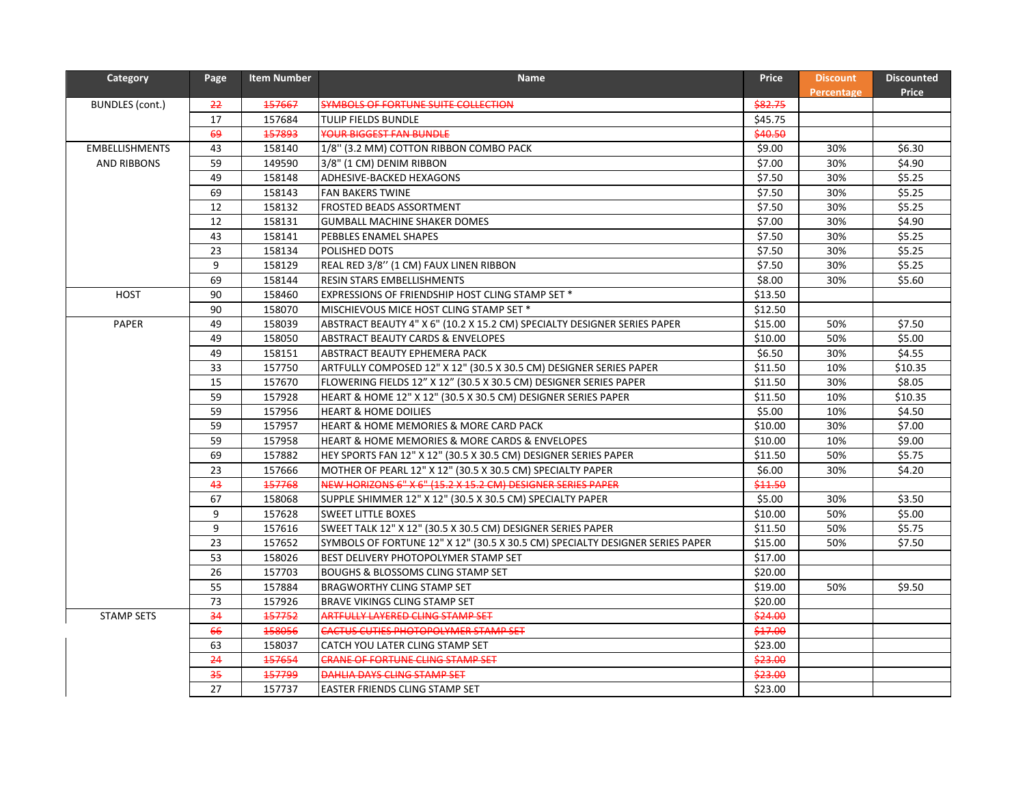| <b>Price</b><br>Percentage<br>157667<br>\$82.75<br>BUNDLES (cont.)<br>22<br>SYMBOLS OF FORTUNE SUITE COLLECTION<br>17<br>157684<br>\$45.75<br>TULIP FIELDS BUNDLE<br>69<br>157893<br>YOUR BIGGEST FAN BUNDLE<br>\$40.50<br>43<br>\$6.30<br><b>EMBELLISHMENTS</b><br>158140<br>1/8" (3.2 MM) COTTON RIBBON COMBO PACK<br>\$9.00<br>30%<br>59<br>149590<br>\$7.00<br>\$4.90<br><b>AND RIBBONS</b><br>3/8" (1 CM) DENIM RIBBON<br>30%<br>\$5.25<br>49<br>158148<br>\$7.50<br>30%<br>ADHESIVE-BACKED HEXAGONS<br>69<br>158143<br>\$7.50<br>\$5.25<br>FAN BAKERS TWINE<br>30%<br>\$5.25<br>12<br>158132<br>FROSTED BEADS ASSORTMENT<br>\$7.50<br>30% |
|-------------------------------------------------------------------------------------------------------------------------------------------------------------------------------------------------------------------------------------------------------------------------------------------------------------------------------------------------------------------------------------------------------------------------------------------------------------------------------------------------------------------------------------------------------------------------------------------------------------------------------------------------|
|                                                                                                                                                                                                                                                                                                                                                                                                                                                                                                                                                                                                                                                 |
|                                                                                                                                                                                                                                                                                                                                                                                                                                                                                                                                                                                                                                                 |
|                                                                                                                                                                                                                                                                                                                                                                                                                                                                                                                                                                                                                                                 |
|                                                                                                                                                                                                                                                                                                                                                                                                                                                                                                                                                                                                                                                 |
|                                                                                                                                                                                                                                                                                                                                                                                                                                                                                                                                                                                                                                                 |
|                                                                                                                                                                                                                                                                                                                                                                                                                                                                                                                                                                                                                                                 |
|                                                                                                                                                                                                                                                                                                                                                                                                                                                                                                                                                                                                                                                 |
|                                                                                                                                                                                                                                                                                                                                                                                                                                                                                                                                                                                                                                                 |
| 12<br>158131<br>\$7.00<br>\$4.90<br><b>GUMBALL MACHINE SHAKER DOMES</b><br>30%                                                                                                                                                                                                                                                                                                                                                                                                                                                                                                                                                                  |
| \$5.25<br>43<br>158141<br>\$7.50<br>30%<br>PEBBLES ENAMEL SHAPES                                                                                                                                                                                                                                                                                                                                                                                                                                                                                                                                                                                |
| \$5.25<br>23<br>158134<br>\$7.50<br>30%<br>POLISHED DOTS                                                                                                                                                                                                                                                                                                                                                                                                                                                                                                                                                                                        |
| \$5.25<br>9<br>158129<br>REAL RED 3/8" (1 CM) FAUX LINEN RIBBON<br>\$7.50<br>30%                                                                                                                                                                                                                                                                                                                                                                                                                                                                                                                                                                |
| 69<br>158144<br>\$8.00<br>30%<br>\$5.60<br>RESIN STARS EMBELLISHMENTS                                                                                                                                                                                                                                                                                                                                                                                                                                                                                                                                                                           |
| 90<br>158460<br>HOST<br>EXPRESSIONS OF FRIENDSHIP HOST CLING STAMP SET *<br>\$13.50                                                                                                                                                                                                                                                                                                                                                                                                                                                                                                                                                             |
| 90<br>158070<br>\$12.50<br>MISCHIEVOUS MICE HOST CLING STAMP SET *                                                                                                                                                                                                                                                                                                                                                                                                                                                                                                                                                                              |
| PAPER<br>49<br>158039<br>\$15.00<br>\$7.50<br>ABSTRACT BEAUTY 4" X 6" (10.2 X 15.2 CM) SPECIALTY DESIGNER SERIES PAPER<br>50%                                                                                                                                                                                                                                                                                                                                                                                                                                                                                                                   |
| \$5.00<br>49<br>158050<br><b>ABSTRACT BEAUTY CARDS &amp; ENVELOPES</b><br>\$10.00<br>50%                                                                                                                                                                                                                                                                                                                                                                                                                                                                                                                                                        |
| \$6.50<br>49<br>158151<br>30%<br>\$4.55<br>ABSTRACT BEAUTY EPHEMERA PACK                                                                                                                                                                                                                                                                                                                                                                                                                                                                                                                                                                        |
| 157750<br>\$10.35<br>33<br>ARTFULLY COMPOSED 12" X 12" (30.5 X 30.5 CM) DESIGNER SERIES PAPER<br>\$11.50<br>10%                                                                                                                                                                                                                                                                                                                                                                                                                                                                                                                                 |
| 157670<br>15<br>FLOWERING FIELDS 12" X 12" (30.5 X 30.5 CM) DESIGNER SERIES PAPER<br>\$11.50<br>30%<br>\$8.05                                                                                                                                                                                                                                                                                                                                                                                                                                                                                                                                   |
| 59<br>157928<br>HEART & HOME 12" X 12" (30.5 X 30.5 CM) DESIGNER SERIES PAPER<br>\$11.50<br>10%<br>\$10.35                                                                                                                                                                                                                                                                                                                                                                                                                                                                                                                                      |
| 59<br>157956<br>\$5.00<br>10%<br>\$4.50<br><b>HEART &amp; HOME DOILIES</b>                                                                                                                                                                                                                                                                                                                                                                                                                                                                                                                                                                      |
| 59<br>157957<br>HEART & HOME MEMORIES & MORE CARD PACK<br>\$10.00<br>30%<br>\$7.00                                                                                                                                                                                                                                                                                                                                                                                                                                                                                                                                                              |
| 59<br>\$9.00<br>157958<br>HEART & HOME MEMORIES & MORE CARDS & ENVELOPES<br>\$10.00<br>10%                                                                                                                                                                                                                                                                                                                                                                                                                                                                                                                                                      |
| 69<br>\$5.75<br>157882<br>\$11.50<br>50%<br>HEY SPORTS FAN 12" X 12" (30.5 X 30.5 CM) DESIGNER SERIES PAPER                                                                                                                                                                                                                                                                                                                                                                                                                                                                                                                                     |
| 23<br>157666<br>\$6.00<br>30%<br>\$4.20<br>MOTHER OF PEARL 12" X 12" (30.5 X 30.5 CM) SPECIALTY PAPER                                                                                                                                                                                                                                                                                                                                                                                                                                                                                                                                           |
| 43<br>157768<br>NEW HORIZONS 6" X 6" (15.2 X 15.2 CM) DESIGNER SERIES PAPER<br>\$11.50                                                                                                                                                                                                                                                                                                                                                                                                                                                                                                                                                          |
| 67<br>158068<br>\$5.00<br>\$3.50<br>SUPPLE SHIMMER 12" X 12" (30.5 X 30.5 CM) SPECIALTY PAPER<br>30%                                                                                                                                                                                                                                                                                                                                                                                                                                                                                                                                            |
| 9<br>157628<br>50%<br>\$5.00<br><b>SWEET LITTLE BOXES</b><br>\$10.00                                                                                                                                                                                                                                                                                                                                                                                                                                                                                                                                                                            |
| 9<br>157616<br>50%<br>\$5.75<br>SWEET TALK 12" X 12" (30.5 X 30.5 CM) DESIGNER SERIES PAPER<br>\$11.50                                                                                                                                                                                                                                                                                                                                                                                                                                                                                                                                          |
| 23<br>157652<br>SYMBOLS OF FORTUNE 12" X 12" (30.5 X 30.5 CM) SPECIALTY DESIGNER SERIES PAPER<br>\$15.00<br>50%<br>\$7.50                                                                                                                                                                                                                                                                                                                                                                                                                                                                                                                       |
| 53<br>158026<br>BEST DELIVERY PHOTOPOLYMER STAMP SET<br>\$17.00                                                                                                                                                                                                                                                                                                                                                                                                                                                                                                                                                                                 |
| 26<br>157703<br>\$20.00<br><b>BOUGHS &amp; BLOSSOMS CLING STAMP SET</b>                                                                                                                                                                                                                                                                                                                                                                                                                                                                                                                                                                         |
| 55<br>157884<br><b>BRAGWORTHY CLING STAMP SET</b><br>\$19.00<br>50%<br>\$9.50                                                                                                                                                                                                                                                                                                                                                                                                                                                                                                                                                                   |
| 73<br>157926<br>\$20.00<br>BRAVE VIKINGS CLING STAMP SET                                                                                                                                                                                                                                                                                                                                                                                                                                                                                                                                                                                        |
| <b>STAMP SETS</b><br>34<br>157752<br>ARTFULLY LAYERED CLING STAMP SET<br>\$24.00                                                                                                                                                                                                                                                                                                                                                                                                                                                                                                                                                                |
| 66<br>158056<br>\$17.00<br>CACTUS CUTIES PHOTOPOLYMER STAMP SET                                                                                                                                                                                                                                                                                                                                                                                                                                                                                                                                                                                 |
| 63<br>158037<br>\$23.00<br>CATCH YOU LATER CLING STAMP SET                                                                                                                                                                                                                                                                                                                                                                                                                                                                                                                                                                                      |
| 24<br>157654<br>\$23.00<br><b>CRANE OF FORTUNE CLING STAMP SET</b>                                                                                                                                                                                                                                                                                                                                                                                                                                                                                                                                                                              |
| 35<br>457799<br>DAHLIA DAYS CLING STAMP SET<br>\$23.00                                                                                                                                                                                                                                                                                                                                                                                                                                                                                                                                                                                          |
| 27<br>\$23.00<br>157737<br>EASTER FRIENDS CLING STAMP SET                                                                                                                                                                                                                                                                                                                                                                                                                                                                                                                                                                                       |